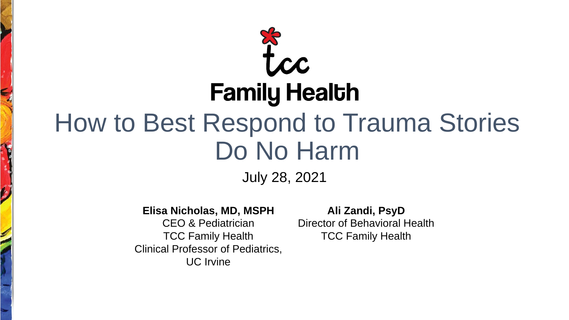# tcc **Family Health** How to Best Respond to Trauma Stories Do No Harm

July 28, 2021

#### **Elisa Nicholas, MD, MSPH**

ý

CEO & Pediatrician TCC Family Health Clinical Professor of Pediatrics, UC Irvine

**Ali Zandi, PsyD** Director of Behavioral Health TCC Family Health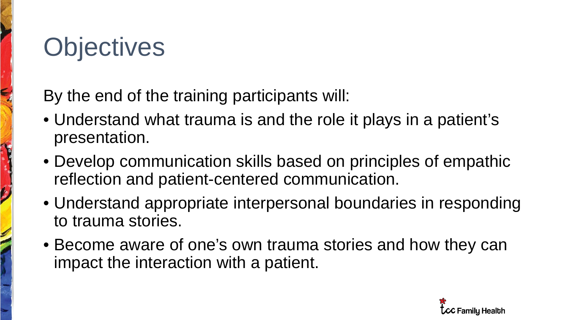## **Objectives**

**CONTROL** 

By the end of the training participants will:

- Understand what trauma is and the role it plays in a patient's presentation.
- Develop communication skills based on principles of empathic reflection and patient-centered communication.
- Understand appropriate interpersonal boundaries in responding to trauma stories.
- Become aware of one's own trauma stories and how they can impact the interaction with a patient.

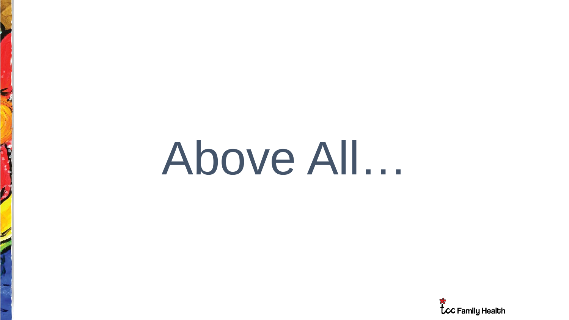# Above All…

E

 $\boldsymbol{\omega}$ 

**CONTROL** 

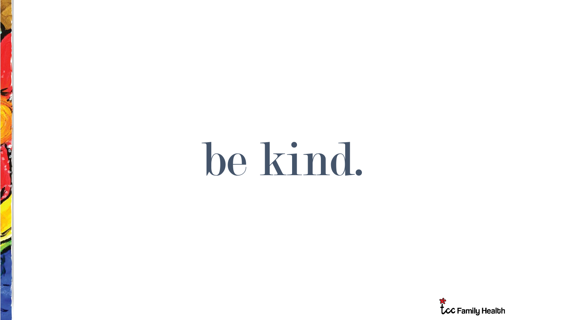# be kind.

E

 $\hat{p}$ 

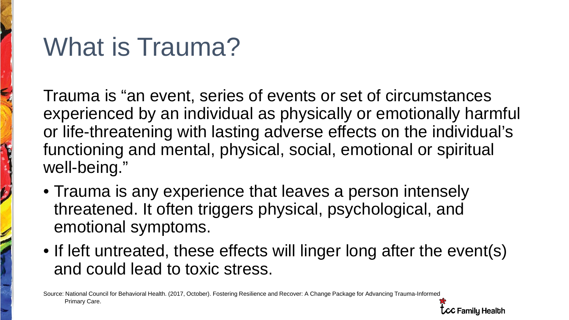### What is Trauma?

Trauma is "an event, series of events or set of circumstances experienced by an individual as physically or emotionally harmful or life-threatening with lasting adverse effects on the individual's functioning and mental, physical, social, emotional or spiritual well-being."

- Trauma is any experience that leaves a person intensely threatened. It often triggers physical, psychological, and emotional symptoms.
- If left untreated, these effects will linger long after the event(s) and could lead to toxic stress.

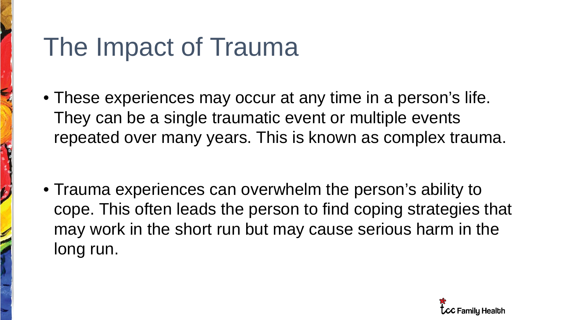### The Impact of Trauma

• These experiences may occur at any time in a person's life. They can be a single traumatic event or multiple events repeated over many years. This is known as complex trauma.

• Trauma experiences can overwhelm the person's ability to cope. This often leads the person to find coping strategies that may work in the short run but may cause serious harm in the long run.

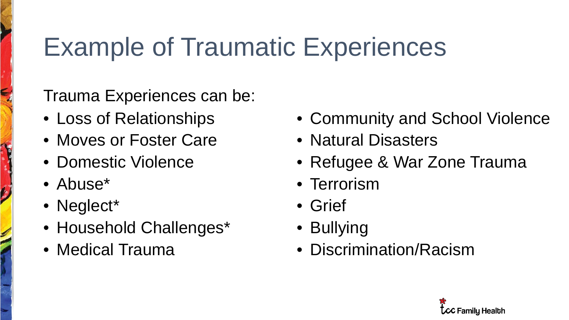# Example of Traumatic Experiences

Trauma Experiences can be:

- Loss of Relationships
- Moves or Foster Care
- Domestic Violence
- Abuse\*
- Neglect<sup>\*</sup>
- Household Challenges\*
- Medical Trauma
- Community and School Violence
- Natural Disasters
- Refugee & War Zone Trauma
- Terrorism
- Grief
- Bullying
- Discrimination/Racism

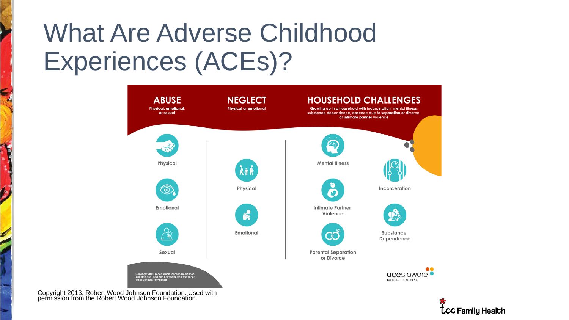### What Are Adverse Childhood Experiences (ACEs)?



**LCC Family Health** 

Copyright 2013. Robert Wood Johnson Foundation. Used with permission from the Robert Wood Johnson Foundation.

E

 $\hat{\bm{\omega}}$ 

 $\blacktriangleright$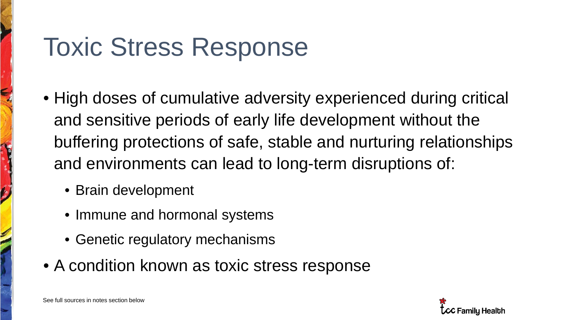### Toxic Stress Response

- High doses of cumulative adversity experienced during critical and sensitive periods of early life development without the buffering protections of safe, stable and nurturing relationships and environments can lead to long-term disruptions of:
	- Brain development
	- Immune and hormonal systems
	- Genetic regulatory mechanisms
- A condition known as toxic stress response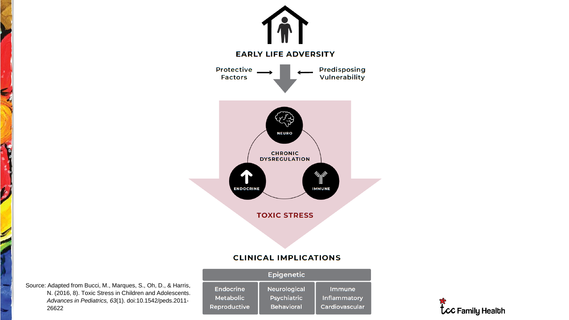

Source: Adapted from Bucci, M., Marques, S., Oh, D., & Harris, N. (2016, 8). Toxic Stress in Children and Adolescents. *Advances in Pediatrics, 63*(1). doi:10.1542/peds.2011- 26622

S

 $\mathbf{z}_t$ 

 $\boldsymbol{\mathcal{G}}$ 

| <b>Epigenetic</b>   |                     |                     |
|---------------------|---------------------|---------------------|
| <b>Endocrine</b>    | <b>Neurological</b> | Immune              |
| <b>Metabolic</b>    | <b>Psychiatric</b>  | <b>Inflammatory</b> |
| <b>Reproductive</b> | <b>Behavioral</b>   | Cardiovascular      |

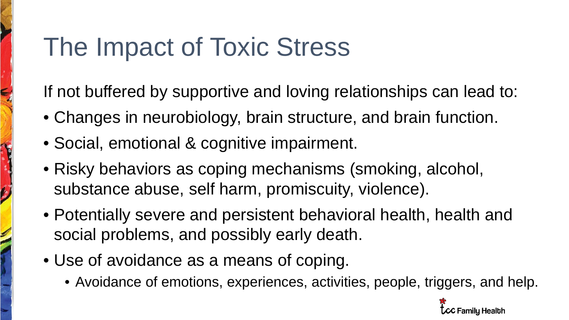### The Impact of Toxic Stress

If not buffered by supportive and loving relationships can lead to:

- Changes in neurobiology, brain structure, and brain function.
- Social, emotional & cognitive impairment.
- Risky behaviors as coping mechanisms (smoking, alcohol, substance abuse, self harm, promiscuity, violence).
- Potentially severe and persistent behavioral health, health and social problems, and possibly early death.
- Use of avoidance as a means of coping.
	- Avoidance of emotions, experiences, activities, people, triggers, and help.

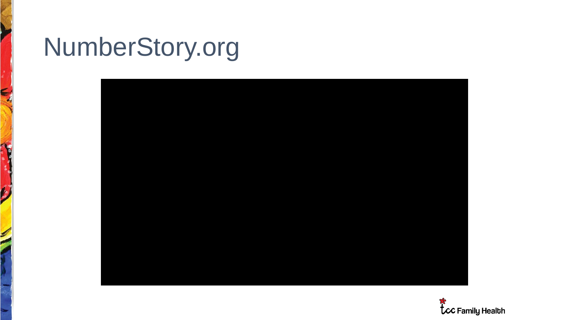### NumberStory.org

E

 $\boldsymbol{\mathcal{G}}$ 



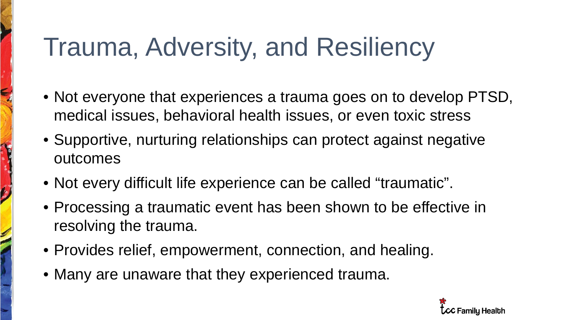## Trauma, Adversity, and Resiliency

- Not everyone that experiences a trauma goes on to develop PTSD, medical issues, behavioral health issues, or even toxic stress
- Supportive, nurturing relationships can protect against negative outcomes
- Not every difficult life experience can be called "traumatic".
- Processing a traumatic event has been shown to be effective in resolving the trauma.
- Provides relief, empowerment, connection, and healing.
- Many are unaware that they experienced trauma.

H

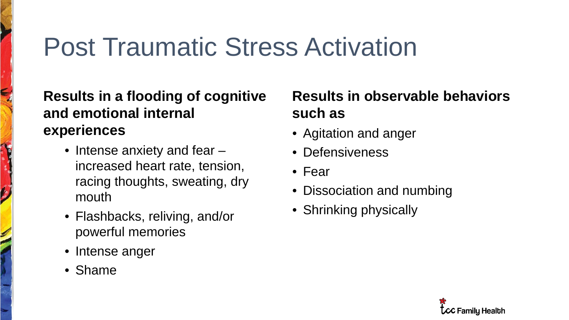### Post Traumatic Stress Activation

#### **Results in a flooding of cognitive and emotional internal experiences**

- Intense anxiety and fear increased heart rate, tension, racing thoughts, sweating, dry mouth
- Flashbacks, reliving, and/or powerful memories
- Intense anger
- Shame

#### **Results in observable behaviors such as**

- Agitation and anger
- Defensiveness
- Fear
- Dissociation and numbing
- Shrinking physically

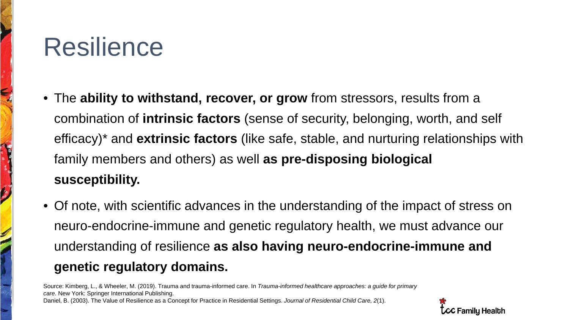### Resilience

 $\boldsymbol{\mathcal{G}}$ 

I

- The **ability to withstand, recover, or grow** from stressors, results from a combination of **intrinsic factors** (sense of security, belonging, worth, and self efficacy)\* and **extrinsic factors** (like safe, stable, and nurturing relationships with family members and others) as well **as pre-disposing biological susceptibility.**
- Of note, with scientific advances in the understanding of the impact of stress on neuro-endocrine-immune and genetic regulatory health, we must advance our understanding of resilience **as also having neuro-endocrine-immune and genetic regulatory domains.**

Source: Kimberg, L., & Wheeler, M. (2019). Trauma and trauma-informed care. In *Trauma-informed healthcare approaches: a guide for primary care.* New York: Springer International Publishing. Daniel, B. (2003). The Value of Resilience as a Concept for Practice in Residential Settings. *Journal of Residential Child Care, 2*(1).

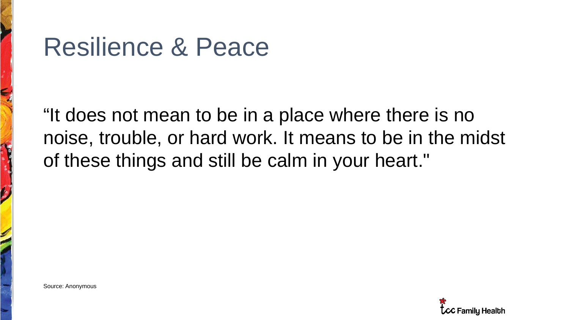### Resilience & Peace

"It does not mean to be in a place where there is no noise, trouble, or hard work. It means to be in the midst of these things and still be calm in your heart."

Source: Anonymous

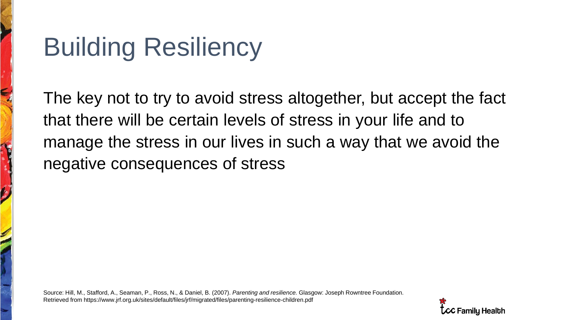# Building Resiliency

The key not to try to avoid stress altogether, but accept the fact that there will be certain levels of stress in your life and to manage the stress in our lives in such a way that we avoid the negative consequences of stress

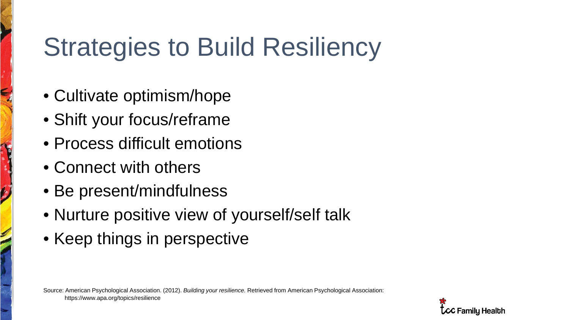# Strategies to Build Resiliency

- Cultivate optimism/hope
- Shift your focus/reframe
- Process difficult emotions
- Connect with others
- Be present/mindfulness
- Nurture positive view of yourself/self talk
- Keep things in perspective

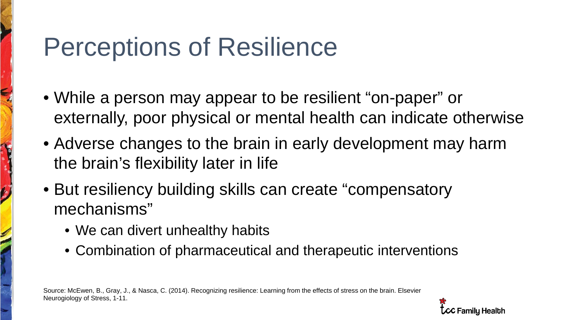### Perceptions of Resilience

- While a person may appear to be resilient "on-paper" or externally, poor physical or mental health can indicate otherwise
- Adverse changes to the brain in early development may harm the brain's flexibility later in life
- But resiliency building skills can create "compensatory mechanisms"
	- We can divert unhealthy habits
	- Combination of pharmaceutical and therapeutic interventions

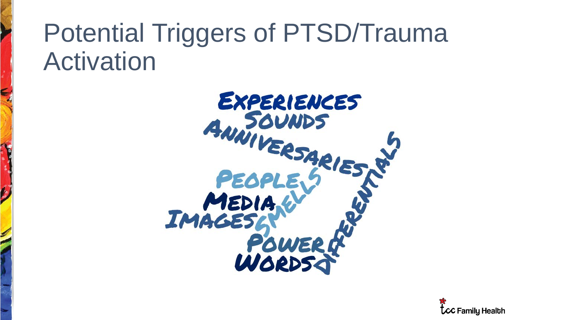### Potential Triggers of PTSD/Trauma Activation



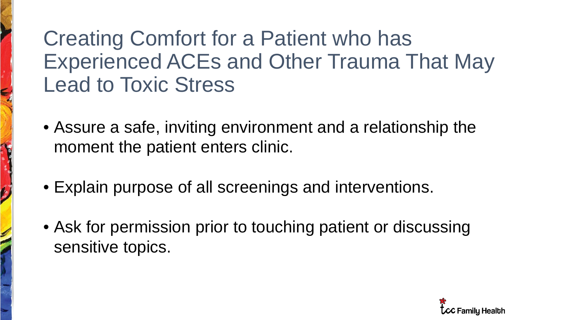### Creating Comfort for a Patient who has Experienced ACEs and Other Trauma That May Lead to Toxic Stress

- Assure a safe, inviting environment and a relationship the moment the patient enters clinic.
- Explain purpose of all screenings and interventions.
- Ask for permission prior to touching patient or discussing sensitive topics.

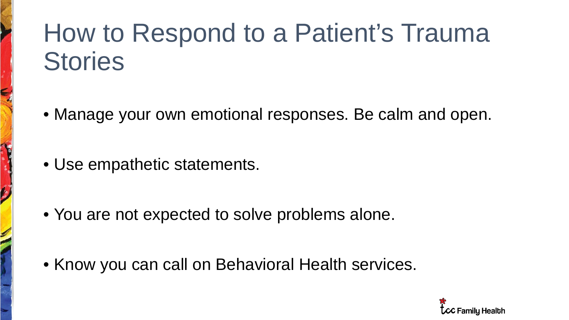### How to Respond to a Patient's Trauma **Stories**

- Manage your own emotional responses. Be calm and open.
- Use empathetic statements.
- You are not expected to solve problems alone.
- Know you can call on Behavioral Health services.

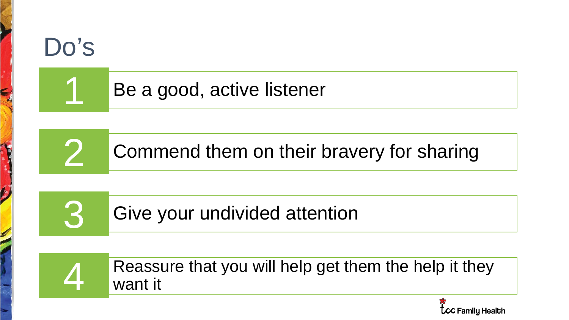

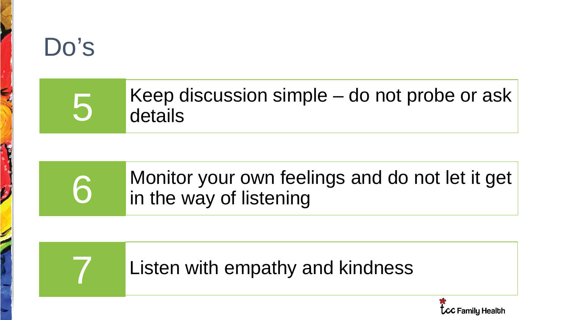

### Keep discussion simple – do not probe or ask details

### Monitor your own feelings and do not let it get in the way of listening

### Listen with empathy and kindness

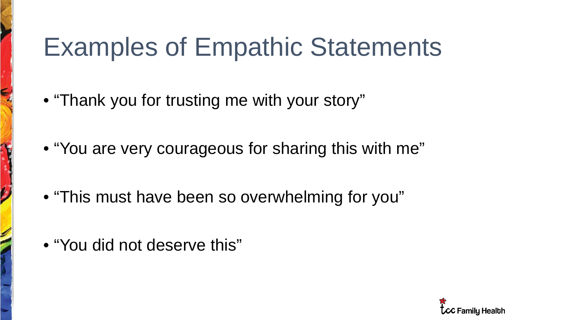### Examples of Empathic Statements

- "Thank you for trusting me with your story"
- "You are very courageous for sharing this with me"
- "This must have been so overwhelming for you"
- "You did not deserve this"

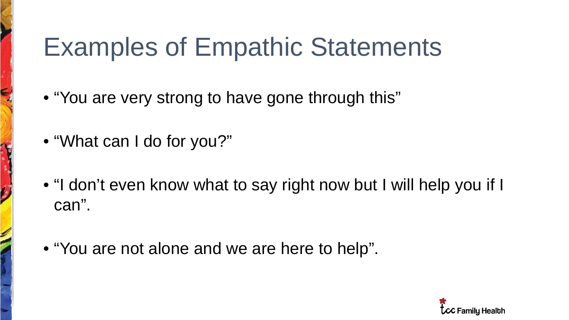### Examples of Empathic Statements

- "You are very strong to have gone through this"
- "What can I do for you?"

ŷ

H

- "I don't even know what to say right now but I will help you if I can".
- "You are not alone and we are here to help".

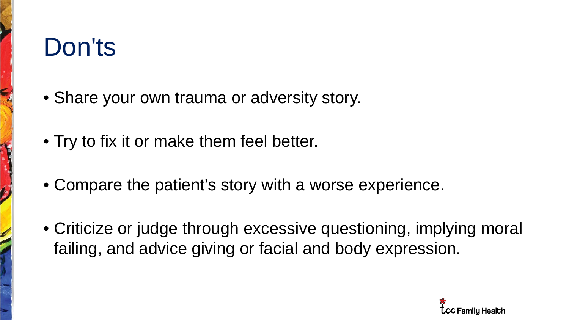### Don'ts

- Share your own trauma or adversity story.
- Try to fix it or make them feel better.
- Compare the patient's story with a worse experience.
- Criticize or judge through excessive questioning, implying moral failing, and advice giving or facial and body expression.

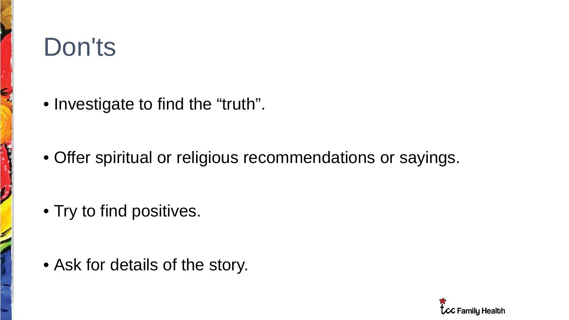## Don'ts

 $\boldsymbol{\zeta}$ 

H

• Investigate to find the "truth".

• Offer spiritual or religious recommendations or sayings.

• Try to find positives.

• Ask for details of the story.

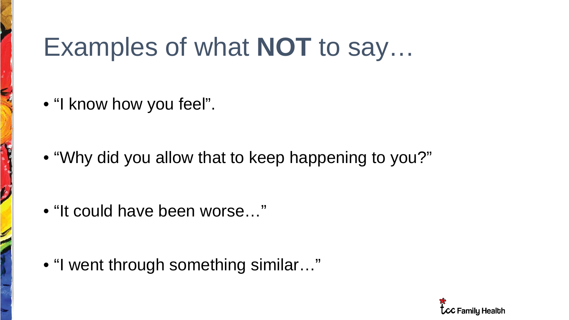### Examples of what **NOT** to say…

• "I know how you feel".

• "Why did you allow that to keep happening to you?"

• "It could have been worse…"

• "I went through something similar…"

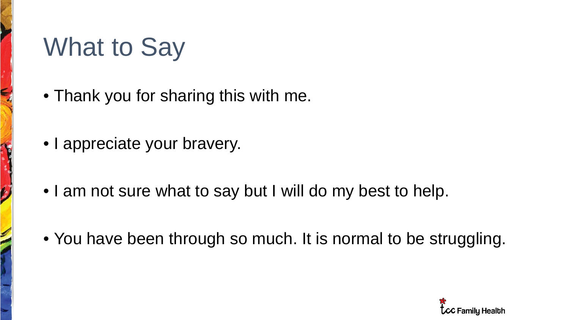### What to Say

 $\boldsymbol{\zeta}$ 

H

- Thank you for sharing this with me.
- I appreciate your bravery.
- I am not sure what to say but I will do my best to help.
- You have been through so much. It is normal to be struggling.

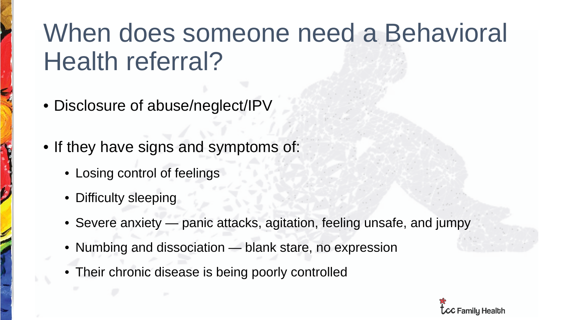### When does someone need a Behavioral Health referral?

- Disclosure of abuse/neglect/IPV
- If they have signs and symptoms of:
	- Losing control of feelings
	- Difficulty sleeping
	- Severe anxiety panic attacks, agitation, feeling unsafe, and jumpy
	- Numbing and dissociation blank stare, no expression
	- Their chronic disease is being poorly controlled

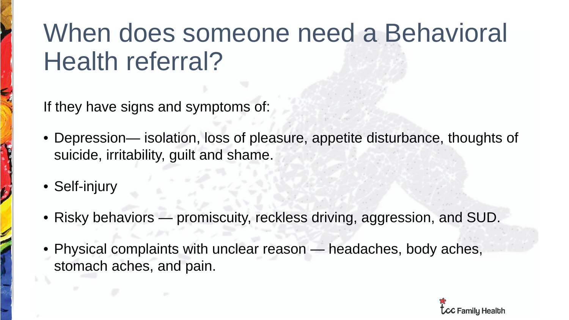### When does someone need a Behavioral Health referral?

If they have signs and symptoms of:

- Depression— isolation, loss of pleasure, appetite disturbance, thoughts of suicide, irritability, guilt and shame.
- Self-injury
- Risky behaviors promiscuity, reckless driving, aggression, and SUD.
- Physical complaints with unclear reason headaches, body aches, stomach aches, and pain.

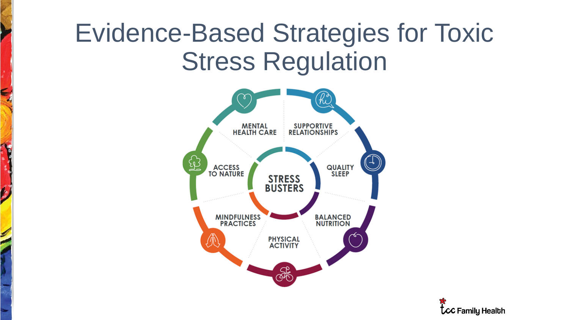### Evidence-Based Strategies for Toxic Stress Regulation

 $\epsilon$ 

 $\boldsymbol{\zeta}$ 

S



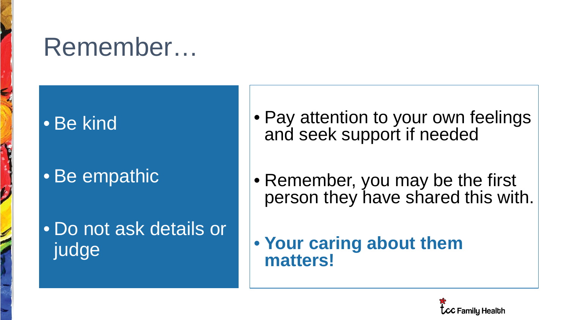### Remember…

#### • Be kind

H

### • Be empathic

#### • Do not ask details or judge

- Pay attention to your own feelings and seek support if needed
- Remember, you may be the first person they have shared this with.
- **Your caring about them matters!**